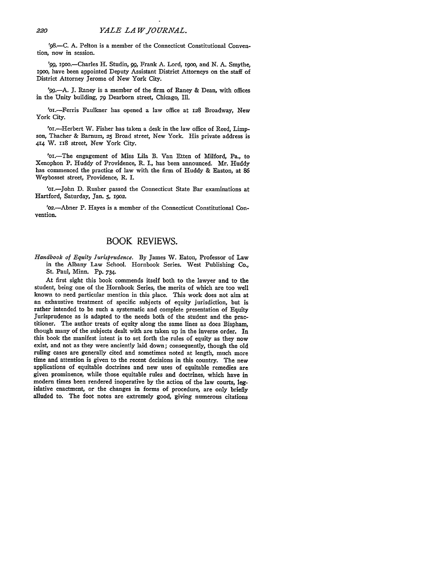'98.-C. **A.** Pelton is a member of the Connecticut Constitutional Convention, now in session.

'99, 1900.-Charles H. Studin, 99, Frank A. Lord, 1900, and N. A. Smythe, igoo, have been appointed Deputy Assistant District Attorneys on the staff of District Attorney Jerome of New York City.

'99-A. **J.** Raney is a member of the firm of Raney & Dean, with offices in the Unity building, 79 Dearborn street, Chicago, Ill.

'oi.-Ferris Faulkner has opened a law office at 128 Broadway, New York City.

'or.-Herbert W. Fisher has taken a desk in the law office of Reed, Limpson, Thacher & Barnum, **25** Broad street, New York. His private address is **414** W. ii8 street, New York City.

'oi.-The engagement of Miss Lila B. Van Etten of Milford, Pa., to Xenophon P. Huddy of Providence, R. **I.,** has been announced. Mr. Huddy has commenced the practice of law with the firm of Huddy & Easton, at **86** Weybosset street, Providence, R. I.

'oi.-John **D.** Rusher passed the Connecticut State Bar examinations at Hartford, Saturday, Jan. **5, 190<sup>2</sup> .**

'o2.-Abner P. Hayes is a member of the Connecticut Constitutional Convention.

## BOOK REVIEWS.

*Handbook of Equity Jurisprudence.* **By** James W. Eaton, Professor of Law in the Albany Law School. Hornbook Series. West Publishing Co., St. Paul, Minn. Pp. 734.

At first sight this book commends itself both to the lawyer and to the student, being one of the Hornbook Series, the merits of which are too well known to need particular mention in this place. This work does not aim at an exhaustive treatment of specific subjects of equity jurisdiction, but is rather intended to be such a systematic and complete presentation of Equity Jurisprudence as is adapted to the needs both of the student and the practitioner. The author treats of equity along the same lines as does Bispham, though many of the subjects dealt with are taken up in the inverse order. In this book the manifest intent is to set forth the rules of equity as they now exist, and not as they were anciently laid down; consequently, though the old ruling cases are generally cited and sometimes noted at length, much more time and attention is given to the recent decisions in this country. The new applications of equitable doctrines and new uses of equitable remedies are given prominence, while those equitable rules and doctrines, which have in modern times been rendered inoperative by the action of the law courts, legislative enactment, or the changes in forms of procedure, are only briefly alluded to. The foot notes are extremely good, giving numerous citations